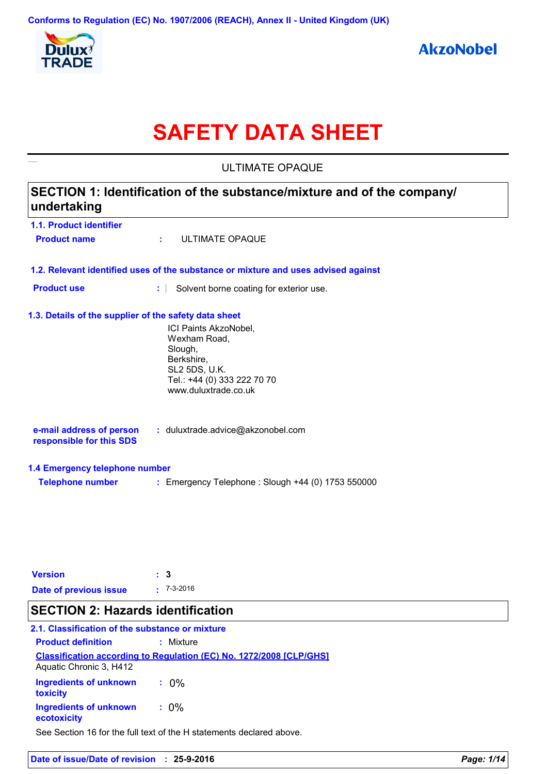

# **SAFETY DATA SHEET**

|                                                                                       | <b>ULTIMATE OPAQUE</b>                                                             |  |
|---------------------------------------------------------------------------------------|------------------------------------------------------------------------------------|--|
| SECTION 1: Identification of the substance/mixture and of the company/<br>undertaking |                                                                                    |  |
| 1.1. Product identifier                                                               |                                                                                    |  |
| <b>Product name</b>                                                                   | ULTIMATE OPAQUE<br>÷.                                                              |  |
|                                                                                       | 1.2. Relevant identified uses of the substance or mixture and uses advised against |  |
| <b>Product use</b>                                                                    | ÷.<br>Solvent borne coating for exterior use.                                      |  |
| 1.3. Details of the supplier of the safety data sheet                                 |                                                                                    |  |
|                                                                                       | ICI Paints AkzoNobel,                                                              |  |
|                                                                                       | Wexham Road,<br>Slough,                                                            |  |
|                                                                                       | Berkshire,                                                                         |  |
|                                                                                       | SL2 5DS, U.K.                                                                      |  |
|                                                                                       | Tel.: +44 (0) 333 222 70 70<br>www.duluxtrade.co.uk                                |  |
| e-mail address of person                                                              | : duluxtrade.advice@akzonobel.com                                                  |  |
| responsible for this SDS                                                              |                                                                                    |  |
| 1.4 Emergency telephone number                                                        |                                                                                    |  |
| <b>Telephone number</b>                                                               | : Emergency Telephone : Slough +44 (0) 1753 550000                                 |  |
|                                                                                       |                                                                                    |  |
|                                                                                       |                                                                                    |  |
|                                                                                       |                                                                                    |  |
| <b>Version</b>                                                                        | 3                                                                                  |  |
| Date of previous issue                                                                | $-7-3-2016$                                                                        |  |

# **SECTION 2: Hazards identification**

# **2.1. Classification of the substance or mixture**

| <b>Product definition</b>                    | : Mixture                                                                  |
|----------------------------------------------|----------------------------------------------------------------------------|
| Aquatic Chronic 3, H412                      | <b>Classification according to Regulation (EC) No. 1272/2008 [CLP/GHS]</b> |
| Ingredients of unknown<br>toxicity           | $: 0\%$                                                                    |
| <b>Ingredients of unknown</b><br>ecotoxicity | $: 0\%$                                                                    |

See Section 16 for the full text of the H statements declared above.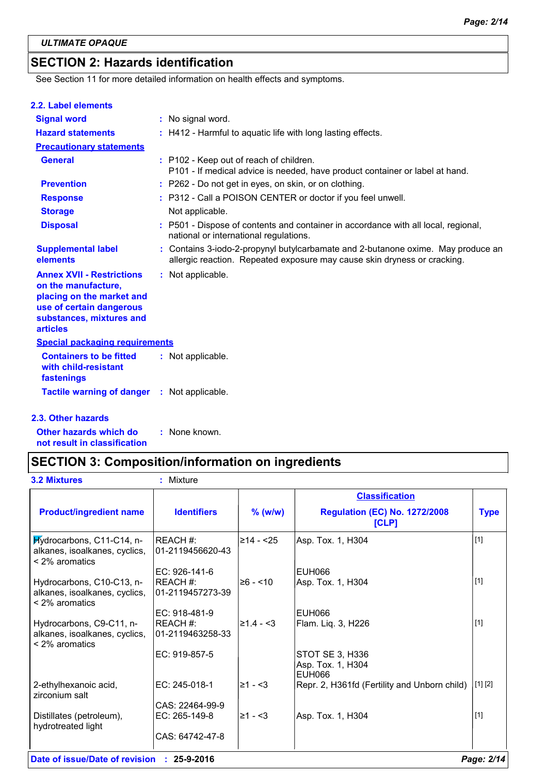# **SECTION 2: Hazards identification**

See Section 11 for more detailed information on health effects and symptoms.

#### **2.2. Label elements**

| <b>Signal word</b>                                                                                                                                              | : No signal word.                                                                                                                                            |
|-----------------------------------------------------------------------------------------------------------------------------------------------------------------|--------------------------------------------------------------------------------------------------------------------------------------------------------------|
| <b>Hazard statements</b>                                                                                                                                        | : H412 - Harmful to aquatic life with long lasting effects.                                                                                                  |
| <b>Precautionary statements</b>                                                                                                                                 |                                                                                                                                                              |
| <b>General</b>                                                                                                                                                  | : P102 - Keep out of reach of children.<br>P101 - If medical advice is needed, have product container or label at hand.                                      |
| <b>Prevention</b>                                                                                                                                               | : P262 - Do not get in eyes, on skin, or on clothing.                                                                                                        |
| <b>Response</b>                                                                                                                                                 | : P312 - Call a POISON CENTER or doctor if you feel unwell.                                                                                                  |
| <b>Storage</b>                                                                                                                                                  | Not applicable.                                                                                                                                              |
| <b>Disposal</b>                                                                                                                                                 | : P501 - Dispose of contents and container in accordance with all local, regional,<br>national or international regulations.                                 |
| <b>Supplemental label</b><br>elements                                                                                                                           | : Contains 3-iodo-2-propynyl butylcarbamate and 2-butanone oxime. May produce an<br>allergic reaction. Repeated exposure may cause skin dryness or cracking. |
| <b>Annex XVII - Restrictions</b><br>on the manufacture,<br>placing on the market and<br>use of certain dangerous<br>substances, mixtures and<br><b>articles</b> | : Not applicable.                                                                                                                                            |
| <b>Special packaging requirements</b>                                                                                                                           |                                                                                                                                                              |
| <b>Containers to be fitted</b><br>with child-resistant<br>fastenings                                                                                            | : Not applicable.                                                                                                                                            |
| <b>Tactile warning of danger : Not applicable.</b>                                                                                                              |                                                                                                                                                              |

#### **2.3. Other hazards**

**Other hazards which do : not result in classification** : None known.

# **SECTION 3: Composition/information on ingredients**

| <b>3.2 Mixtures</b>                                                          | Mixture<br>÷                 |               |                                                |             |
|------------------------------------------------------------------------------|------------------------------|---------------|------------------------------------------------|-------------|
|                                                                              |                              |               | <b>Classification</b>                          |             |
| <b>Product/ingredient name</b>                                               | <b>Identifiers</b>           | $%$ (w/w)     | <b>Regulation (EC) No. 1272/2008</b><br>[CLP]  | <b>Type</b> |
| Hydrocarbons, C11-C14, n-<br>alkanes, isoalkanes, cyclics,<br>< 2% aromatics | REACH#:<br>01-2119456620-43  | $≥14 - 25$    | Asp. Tox. 1, H304                              | $[1]$       |
|                                                                              | EC: 926-141-6                |               | EUH066                                         |             |
| Hydrocarbons, C10-C13, n-<br>alkanes, isoalkanes, cyclics,<br>< 2% aromatics | REACH #:<br>01-2119457273-39 | $\geq 6 - 10$ | Asp. Tox. 1, H304                              | [1]         |
|                                                                              | EC: 918-481-9                |               | EUH066                                         |             |
| Hydrocarbons, C9-C11, n-<br>alkanes, isoalkanes, cyclics,<br>< 2% aromatics  | REACH#:<br>01-2119463258-33  | $≥1.4 - 3$    | Flam. Liq. 3, H226                             | $[1]$       |
|                                                                              | EC: 919-857-5                |               | STOT SE 3, H336<br>Asp. Tox. 1, H304<br>EUH066 |             |
| 2-ethylhexanoic acid,<br>zirconium salt                                      | EC: 245-018-1                | $≥1 - <3$     | Repr. 2, H361fd (Fertility and Unborn child)   | [1] [2]     |
|                                                                              | CAS: 22464-99-9              |               |                                                |             |
| Distillates (petroleum),<br>hydrotreated light                               | EC: 265-149-8                | $≥1 - <3$     | Asp. Tox. 1, H304                              | $[1]$       |
|                                                                              | CAS: 64742-47-8              |               |                                                |             |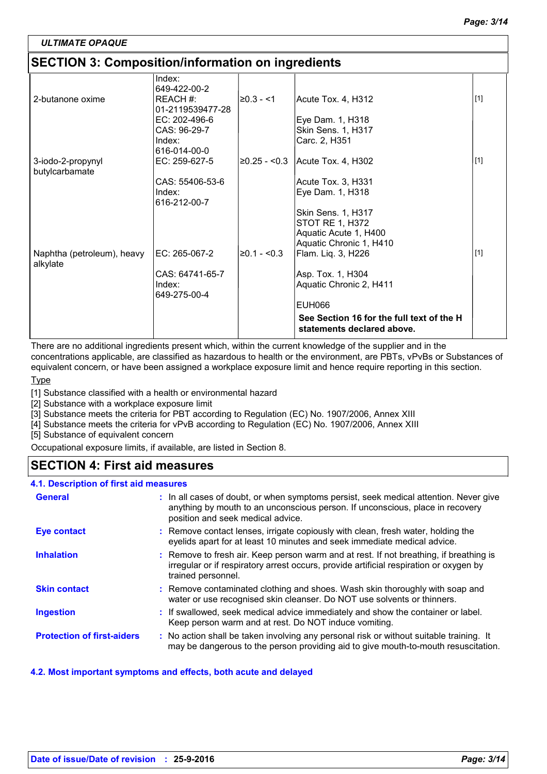### **SECTION 3: Composition/information on ingredients**

| Index:<br>649-422-00-2<br>2-butanone oxime<br>REACH#:<br>20.3 - <1<br>Acute Tox. 4, H312<br>01-2119539477-28<br>EC: 202-496-6<br>Eye Dam. 1, H318<br>CAS: 96-29-7<br>Skin Sens. 1, H317 |       |
|-----------------------------------------------------------------------------------------------------------------------------------------------------------------------------------------|-------|
|                                                                                                                                                                                         |       |
|                                                                                                                                                                                         | $[1]$ |
|                                                                                                                                                                                         |       |
|                                                                                                                                                                                         |       |
| Carc. 2, H351<br>Index:                                                                                                                                                                 |       |
| 616-014-00-0                                                                                                                                                                            | $[1]$ |
| 20.25 - <0.3<br>EC: 259-627-5<br>Acute Tox. 4, H302<br>3-iodo-2-propynyl<br>butylcarbamate                                                                                              |       |
| CAS: 55406-53-6<br>Acute Tox. 3, H331                                                                                                                                                   |       |
| Index:<br>Eye Dam. 1, H318<br>616-212-00-7                                                                                                                                              |       |
| Skin Sens. 1, H317                                                                                                                                                                      |       |
| STOT RE 1, H372                                                                                                                                                                         |       |
| Aquatic Acute 1, H400                                                                                                                                                                   |       |
| Aquatic Chronic 1, H410<br>EC: 265-067-2<br>$≥0.1 - <0.3$<br>Naphtha (petroleum), heavy<br>Flam. Liq. 3, H226                                                                           | $[1]$ |
| alkylate                                                                                                                                                                                |       |
| CAS: 64741-65-7<br>Asp. Tox. 1, H304                                                                                                                                                    |       |
| Aquatic Chronic 2, H411<br>Index:                                                                                                                                                       |       |
| 649-275-00-4                                                                                                                                                                            |       |
| <b>EUH066</b>                                                                                                                                                                           |       |
| See Section 16 for the full text of the H<br>statements declared above.                                                                                                                 |       |

There are no additional ingredients present which, within the current knowledge of the supplier and in the concentrations applicable, are classified as hazardous to health or the environment, are PBTs, vPvBs or Substances of equivalent concern, or have been assigned a workplace exposure limit and hence require reporting in this section.

#### **Type**

[1] Substance classified with a health or environmental hazard

[2] Substance with a workplace exposure limit

[3] Substance meets the criteria for PBT according to Regulation (EC) No. 1907/2006, Annex XIII

[4] Substance meets the criteria for vPvB according to Regulation (EC) No. 1907/2006, Annex XIII

[5] Substance of equivalent concern

Occupational exposure limits, if available, are listed in Section 8.

### **SECTION 4: First aid measures**

#### **4.1. Description of first aid measures**

| <b>General</b>                    | : In all cases of doubt, or when symptoms persist, seek medical attention. Never give<br>anything by mouth to an unconscious person. If unconscious, place in recovery<br>position and seek medical advice. |
|-----------------------------------|-------------------------------------------------------------------------------------------------------------------------------------------------------------------------------------------------------------|
| <b>Eye contact</b>                | : Remove contact lenses, irrigate copiously with clean, fresh water, holding the<br>eyelids apart for at least 10 minutes and seek immediate medical advice.                                                |
| <b>Inhalation</b>                 | : Remove to fresh air. Keep person warm and at rest. If not breathing, if breathing is<br>irregular or if respiratory arrest occurs, provide artificial respiration or oxygen by<br>trained personnel.      |
| <b>Skin contact</b>               | : Remove contaminated clothing and shoes. Wash skin thoroughly with soap and<br>water or use recognised skin cleanser. Do NOT use solvents or thinners.                                                     |
| <b>Ingestion</b>                  | : If swallowed, seek medical advice immediately and show the container or label.<br>Keep person warm and at rest. Do NOT induce vomiting.                                                                   |
| <b>Protection of first-aiders</b> | : No action shall be taken involving any personal risk or without suitable training. It<br>may be dangerous to the person providing aid to give mouth-to-mouth resuscitation.                               |

#### **4.2. Most important symptoms and effects, both acute and delayed**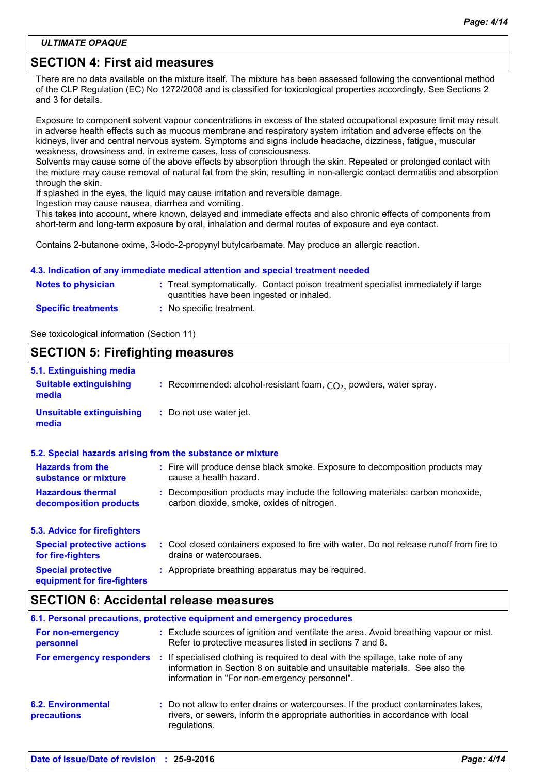### **SECTION 4: First aid measures**

There are no data available on the mixture itself. The mixture has been assessed following the conventional method of the CLP Regulation (EC) No 1272/2008 and is classified for toxicological properties accordingly. See Sections 2 and 3 for details.

Exposure to component solvent vapour concentrations in excess of the stated occupational exposure limit may result in adverse health effects such as mucous membrane and respiratory system irritation and adverse effects on the kidneys, liver and central nervous system. Symptoms and signs include headache, dizziness, fatigue, muscular weakness, drowsiness and, in extreme cases, loss of consciousness.

Solvents may cause some of the above effects by absorption through the skin. Repeated or prolonged contact with the mixture may cause removal of natural fat from the skin, resulting in non-allergic contact dermatitis and absorption through the skin.

If splashed in the eyes, the liquid may cause irritation and reversible damage.

Ingestion may cause nausea, diarrhea and vomiting.

This takes into account, where known, delayed and immediate effects and also chronic effects of components from short-term and long-term exposure by oral, inhalation and dermal routes of exposure and eye contact.

Contains 2-butanone oxime, 3-iodo-2-propynyl butylcarbamate. May produce an allergic reaction.

#### **4.3. Indication of any immediate medical attention and special treatment needed**

| <b>Notes to physician</b>  | : Treat symptomatically. Contact poison treatment specialist immediately if large<br>quantities have been ingested or inhaled. |
|----------------------------|--------------------------------------------------------------------------------------------------------------------------------|
| <b>Specific treatments</b> | No specific treatment.                                                                                                         |

See toxicological information (Section 11)

#### **SECTION 5: Firefighting measures**

| 5.1. Extinguishing media                                 |                                                                                                                              |
|----------------------------------------------------------|------------------------------------------------------------------------------------------------------------------------------|
| <b>Suitable extinguishing</b><br>media                   | : Recommended: alcohol-resistant foam, $CO2$ , powders, water spray.                                                         |
| <b>Unsuitable extinguishing</b><br>media                 | : Do not use water jet.                                                                                                      |
|                                                          | 5.2. Special hazards arising from the substance or mixture                                                                   |
| <b>Hazards from the</b><br>substance or mixture          | : Fire will produce dense black smoke. Exposure to decomposition products may<br>cause a health hazard.                      |
| <b>Hazardous thermal</b><br>decomposition products       | : Decomposition products may include the following materials: carbon monoxide,<br>carbon dioxide, smoke, oxides of nitrogen. |
| 5.3. Advice for firefighters                             |                                                                                                                              |
| <b>Special protective actions</b><br>for fire-fighters   | : Cool closed containers exposed to fire with water. Do not release runoff from fire to<br>drains or watercourses.           |
| <b>Special protective</b><br>equipment for fire-fighters | : Appropriate breathing apparatus may be required.                                                                           |

### **SECTION 6: Accidental release measures**

|                                                 |     | 6.1. Personal precautions, protective equipment and emergency procedures                                                                                                                                        |
|-------------------------------------------------|-----|-----------------------------------------------------------------------------------------------------------------------------------------------------------------------------------------------------------------|
| For non-emergency<br>personnel                  |     | : Exclude sources of ignition and ventilate the area. Avoid breathing vapour or mist.<br>Refer to protective measures listed in sections 7 and 8.                                                               |
| For emergency responders                        | -11 | If specialised clothing is required to deal with the spillage, take note of any<br>information in Section 8 on suitable and unsuitable materials. See also the<br>information in "For non-emergency personnel". |
| <b>6.2. Environmental</b><br><b>precautions</b> |     | : Do not allow to enter drains or watercourses. If the product contaminates lakes,<br>rivers, or sewers, inform the appropriate authorities in accordance with local<br>regulations.                            |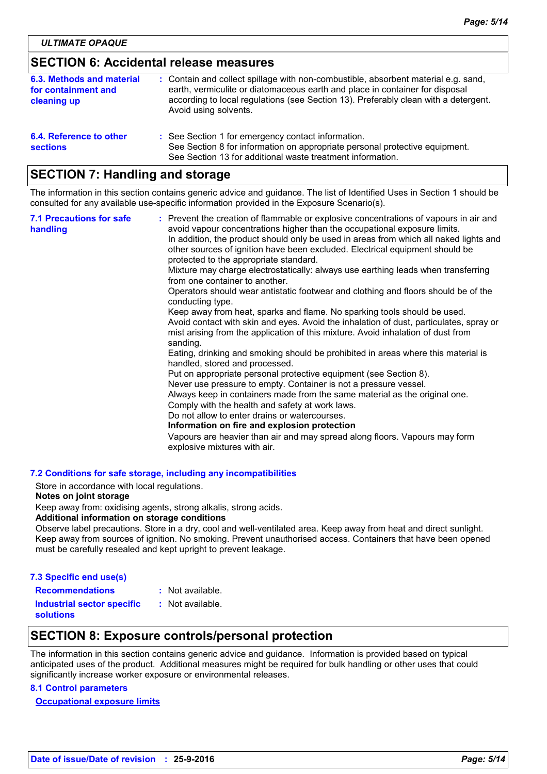### **SECTION 6: Accidental release measures**

| 6.3. Methods and material<br>for containment and<br>cleaning up | : Contain and collect spillage with non-combustible, absorbent material e.g. sand,<br>earth, vermiculite or diatomaceous earth and place in container for disposal<br>according to local regulations (see Section 13). Preferably clean with a detergent.<br>Avoid using solvents. |
|-----------------------------------------------------------------|------------------------------------------------------------------------------------------------------------------------------------------------------------------------------------------------------------------------------------------------------------------------------------|
| 6.4. Reference to other<br><b>sections</b>                      | : See Section 1 for emergency contact information.<br>See Section 8 for information on appropriate personal protective equipment.<br>See Section 13 for additional waste treatment information.                                                                                    |

# **SECTION 7: Handling and storage**

The information in this section contains generic advice and guidance. The list of Identified Uses in Section 1 should be consulted for any available use-specific information provided in the Exposure Scenario(s).

| <b>7.1 Precautions for safe</b><br>handling | : Prevent the creation of flammable or explosive concentrations of vapours in air and<br>avoid vapour concentrations higher than the occupational exposure limits.<br>In addition, the product should only be used in areas from which all naked lights and<br>other sources of ignition have been excluded. Electrical equipment should be<br>protected to the appropriate standard. |
|---------------------------------------------|---------------------------------------------------------------------------------------------------------------------------------------------------------------------------------------------------------------------------------------------------------------------------------------------------------------------------------------------------------------------------------------|
|                                             | Mixture may charge electrostatically: always use earthing leads when transferring<br>from one container to another.                                                                                                                                                                                                                                                                   |
|                                             | Operators should wear antistatic footwear and clothing and floors should be of the<br>conducting type.                                                                                                                                                                                                                                                                                |
|                                             | Keep away from heat, sparks and flame. No sparking tools should be used.<br>Avoid contact with skin and eyes. Avoid the inhalation of dust, particulates, spray or<br>mist arising from the application of this mixture. Avoid inhalation of dust from<br>sanding.                                                                                                                    |
|                                             | Eating, drinking and smoking should be prohibited in areas where this material is<br>handled, stored and processed.                                                                                                                                                                                                                                                                   |
|                                             | Put on appropriate personal protective equipment (see Section 8).<br>Never use pressure to empty. Container is not a pressure vessel.                                                                                                                                                                                                                                                 |
|                                             | Always keep in containers made from the same material as the original one.<br>Comply with the health and safety at work laws.                                                                                                                                                                                                                                                         |
|                                             | Do not allow to enter drains or watercourses.<br>Information on fire and explosion protection                                                                                                                                                                                                                                                                                         |
|                                             | Vapours are heavier than air and may spread along floors. Vapours may form<br>explosive mixtures with air.                                                                                                                                                                                                                                                                            |

#### **7.2 Conditions for safe storage, including any incompatibilities**

Store in accordance with local regulations.

#### **Notes on joint storage**

Keep away from: oxidising agents, strong alkalis, strong acids.

#### **Additional information on storage conditions**

Observe label precautions. Store in a dry, cool and well-ventilated area. Keep away from heat and direct sunlight. Keep away from sources of ignition. No smoking. Prevent unauthorised access. Containers that have been opened must be carefully resealed and kept upright to prevent leakage.

#### **7.3 Specific end use(s)**

| <b>Recommendations</b>            | : Not available. |
|-----------------------------------|------------------|
| <b>Industrial sector specific</b> | : Not available. |
| <b>solutions</b>                  |                  |

### **SECTION 8: Exposure controls/personal protection**

The information in this section contains generic advice and guidance. Information is provided based on typical anticipated uses of the product. Additional measures might be required for bulk handling or other uses that could significantly increase worker exposure or environmental releases.

#### **8.1 Control parameters**

**Occupational exposure limits**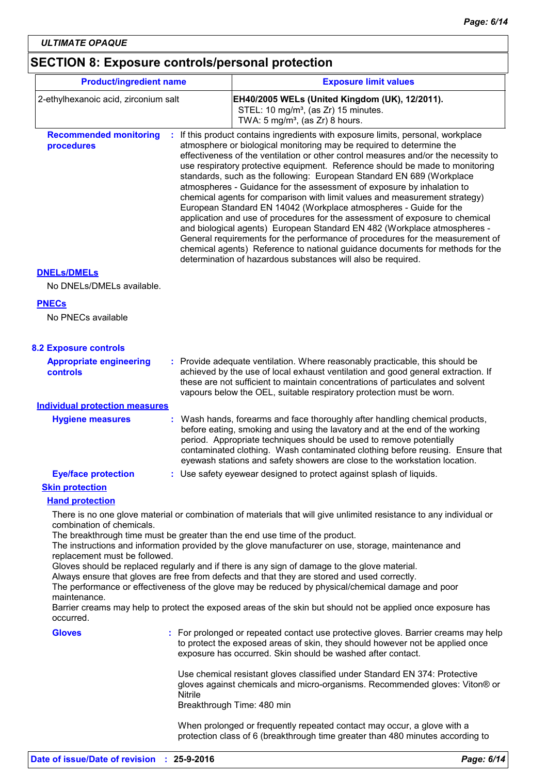# **SECTION 8: Exposure controls/personal protection**

| <b>Product/ingredient name</b>                   |                                                                                                                                                  | <b>Exposure limit values</b>                                                                                                                                                                                                                                                                                                                                                                                                                                                                                                                                                                                                                                                                                                                                                                                                                                                                                                                                                                                                     |  |
|--------------------------------------------------|--------------------------------------------------------------------------------------------------------------------------------------------------|----------------------------------------------------------------------------------------------------------------------------------------------------------------------------------------------------------------------------------------------------------------------------------------------------------------------------------------------------------------------------------------------------------------------------------------------------------------------------------------------------------------------------------------------------------------------------------------------------------------------------------------------------------------------------------------------------------------------------------------------------------------------------------------------------------------------------------------------------------------------------------------------------------------------------------------------------------------------------------------------------------------------------------|--|
| 2-ethylhexanoic acid, zirconium salt             | EH40/2005 WELs (United Kingdom (UK), 12/2011).<br>STEL: 10 mg/m <sup>3</sup> , (as Zr) 15 minutes.<br>TWA: $5 \text{ mg/m}^3$ , (as Zr) 8 hours. |                                                                                                                                                                                                                                                                                                                                                                                                                                                                                                                                                                                                                                                                                                                                                                                                                                                                                                                                                                                                                                  |  |
| <b>Recommended monitoring</b><br>procedures      |                                                                                                                                                  | If this product contains ingredients with exposure limits, personal, workplace<br>atmosphere or biological monitoring may be required to determine the<br>effectiveness of the ventilation or other control measures and/or the necessity to<br>use respiratory protective equipment. Reference should be made to monitoring<br>standards, such as the following: European Standard EN 689 (Workplace<br>atmospheres - Guidance for the assessment of exposure by inhalation to<br>chemical agents for comparison with limit values and measurement strategy)<br>European Standard EN 14042 (Workplace atmospheres - Guide for the<br>application and use of procedures for the assessment of exposure to chemical<br>and biological agents) European Standard EN 482 (Workplace atmospheres -<br>General requirements for the performance of procedures for the measurement of<br>chemical agents) Reference to national guidance documents for methods for the<br>determination of hazardous substances will also be required. |  |
| <b>DNELS/DMELS</b>                               |                                                                                                                                                  |                                                                                                                                                                                                                                                                                                                                                                                                                                                                                                                                                                                                                                                                                                                                                                                                                                                                                                                                                                                                                                  |  |
| No DNELs/DMELs available.                        |                                                                                                                                                  |                                                                                                                                                                                                                                                                                                                                                                                                                                                                                                                                                                                                                                                                                                                                                                                                                                                                                                                                                                                                                                  |  |
| <b>PNECs</b><br>No PNECs available               |                                                                                                                                                  |                                                                                                                                                                                                                                                                                                                                                                                                                                                                                                                                                                                                                                                                                                                                                                                                                                                                                                                                                                                                                                  |  |
| <b>8.2 Exposure controls</b>                     |                                                                                                                                                  |                                                                                                                                                                                                                                                                                                                                                                                                                                                                                                                                                                                                                                                                                                                                                                                                                                                                                                                                                                                                                                  |  |
| <b>Appropriate engineering</b><br>controls       |                                                                                                                                                  | Provide adequate ventilation. Where reasonably practicable, this should be<br>achieved by the use of local exhaust ventilation and good general extraction. If<br>these are not sufficient to maintain concentrations of particulates and solvent<br>vapours below the OEL, suitable respiratory protection must be worn.                                                                                                                                                                                                                                                                                                                                                                                                                                                                                                                                                                                                                                                                                                        |  |
| <b>Individual protection measures</b>            |                                                                                                                                                  |                                                                                                                                                                                                                                                                                                                                                                                                                                                                                                                                                                                                                                                                                                                                                                                                                                                                                                                                                                                                                                  |  |
| <b>Hygiene measures</b>                          |                                                                                                                                                  | Wash hands, forearms and face thoroughly after handling chemical products,<br>before eating, smoking and using the lavatory and at the end of the working<br>period. Appropriate techniques should be used to remove potentially<br>contaminated clothing. Wash contaminated clothing before reusing. Ensure that<br>eyewash stations and safety showers are close to the workstation location.                                                                                                                                                                                                                                                                                                                                                                                                                                                                                                                                                                                                                                  |  |
| <b>Eye/face protection</b>                       |                                                                                                                                                  | Use safety eyewear designed to protect against splash of liquids.                                                                                                                                                                                                                                                                                                                                                                                                                                                                                                                                                                                                                                                                                                                                                                                                                                                                                                                                                                |  |
| <b>Skin protection</b><br><b>Hand protection</b> |                                                                                                                                                  |                                                                                                                                                                                                                                                                                                                                                                                                                                                                                                                                                                                                                                                                                                                                                                                                                                                                                                                                                                                                                                  |  |
|                                                  |                                                                                                                                                  | There is no one glove material or combination of materials that will give unlimited resistance to any individual or                                                                                                                                                                                                                                                                                                                                                                                                                                                                                                                                                                                                                                                                                                                                                                                                                                                                                                              |  |
| combination of chemicals.                        |                                                                                                                                                  |                                                                                                                                                                                                                                                                                                                                                                                                                                                                                                                                                                                                                                                                                                                                                                                                                                                                                                                                                                                                                                  |  |
| replacement must be followed.                    |                                                                                                                                                  | The breakthrough time must be greater than the end use time of the product.<br>The instructions and information provided by the glove manufacturer on use, storage, maintenance and                                                                                                                                                                                                                                                                                                                                                                                                                                                                                                                                                                                                                                                                                                                                                                                                                                              |  |
| maintenance.                                     |                                                                                                                                                  | Gloves should be replaced regularly and if there is any sign of damage to the glove material.<br>Always ensure that gloves are free from defects and that they are stored and used correctly.<br>The performance or effectiveness of the glove may be reduced by physical/chemical damage and poor                                                                                                                                                                                                                                                                                                                                                                                                                                                                                                                                                                                                                                                                                                                               |  |
| occurred.                                        |                                                                                                                                                  | Barrier creams may help to protect the exposed areas of the skin but should not be applied once exposure has                                                                                                                                                                                                                                                                                                                                                                                                                                                                                                                                                                                                                                                                                                                                                                                                                                                                                                                     |  |
| <b>Gloves</b>                                    |                                                                                                                                                  | : For prolonged or repeated contact use protective gloves. Barrier creams may help<br>to protect the exposed areas of skin, they should however not be applied once<br>exposure has occurred. Skin should be washed after contact.                                                                                                                                                                                                                                                                                                                                                                                                                                                                                                                                                                                                                                                                                                                                                                                               |  |
|                                                  | Nitrile                                                                                                                                          | Use chemical resistant gloves classified under Standard EN 374: Protective<br>gloves against chemicals and micro-organisms. Recommended gloves: Viton® or<br>Breakthrough Time: 480 min                                                                                                                                                                                                                                                                                                                                                                                                                                                                                                                                                                                                                                                                                                                                                                                                                                          |  |
|                                                  |                                                                                                                                                  | When prolonged or frequently repeated contact may occur, a glove with a<br>protection class of 6 (breakthrough time greater than 480 minutes according to                                                                                                                                                                                                                                                                                                                                                                                                                                                                                                                                                                                                                                                                                                                                                                                                                                                                        |  |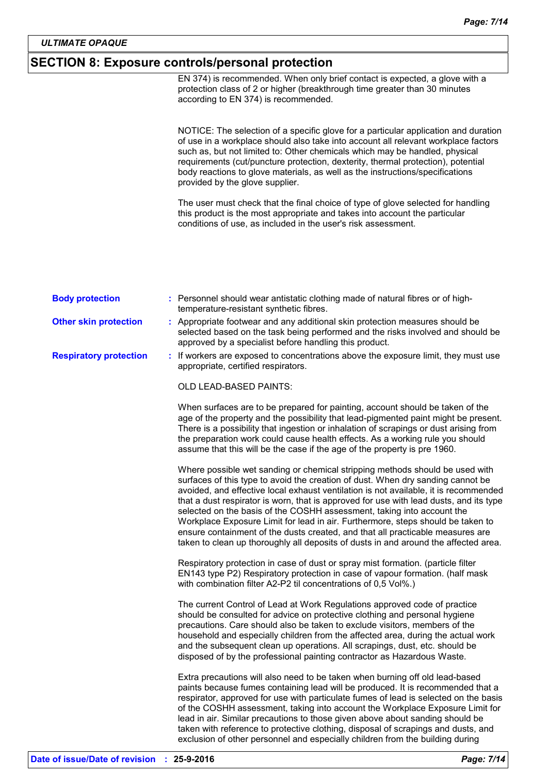# **SECTION 8: Exposure controls/personal protection**

|                               | EN 374) is recommended. When only brief contact is expected, a glove with a<br>protection class of 2 or higher (breakthrough time greater than 30 minutes<br>according to EN 374) is recommended.                                                                                                                                                                                                                                                                                                                                                                                                                                                                                       |
|-------------------------------|-----------------------------------------------------------------------------------------------------------------------------------------------------------------------------------------------------------------------------------------------------------------------------------------------------------------------------------------------------------------------------------------------------------------------------------------------------------------------------------------------------------------------------------------------------------------------------------------------------------------------------------------------------------------------------------------|
|                               | NOTICE: The selection of a specific glove for a particular application and duration<br>of use in a workplace should also take into account all relevant workplace factors<br>such as, but not limited to: Other chemicals which may be handled, physical<br>requirements (cut/puncture protection, dexterity, thermal protection), potential<br>body reactions to glove materials, as well as the instructions/specifications<br>provided by the glove supplier.                                                                                                                                                                                                                        |
|                               | The user must check that the final choice of type of glove selected for handling<br>this product is the most appropriate and takes into account the particular<br>conditions of use, as included in the user's risk assessment.                                                                                                                                                                                                                                                                                                                                                                                                                                                         |
| <b>Body protection</b>        | : Personnel should wear antistatic clothing made of natural fibres or of high-                                                                                                                                                                                                                                                                                                                                                                                                                                                                                                                                                                                                          |
|                               | temperature-resistant synthetic fibres.                                                                                                                                                                                                                                                                                                                                                                                                                                                                                                                                                                                                                                                 |
| <b>Other skin protection</b>  | : Appropriate footwear and any additional skin protection measures should be<br>selected based on the task being performed and the risks involved and should be<br>approved by a specialist before handling this product.                                                                                                                                                                                                                                                                                                                                                                                                                                                               |
| <b>Respiratory protection</b> | : If workers are exposed to concentrations above the exposure limit, they must use<br>appropriate, certified respirators.                                                                                                                                                                                                                                                                                                                                                                                                                                                                                                                                                               |
|                               | OLD LEAD-BASED PAINTS:                                                                                                                                                                                                                                                                                                                                                                                                                                                                                                                                                                                                                                                                  |
|                               | When surfaces are to be prepared for painting, account should be taken of the<br>age of the property and the possibility that lead-pigmented paint might be present.<br>There is a possibility that ingestion or inhalation of scrapings or dust arising from<br>the preparation work could cause health effects. As a working rule you should<br>assume that this will be the case if the age of the property is pre 1960.                                                                                                                                                                                                                                                             |
|                               | Where possible wet sanding or chemical stripping methods should be used with<br>surfaces of this type to avoid the creation of dust. When dry sanding cannot be<br>avoided, and effective local exhaust ventilation is not available, it is recommended<br>that a dust respirator is worn, that is approved for use with lead dusts, and its type<br>selected on the basis of the COSHH assessment, taking into account the<br>Workplace Exposure Limit for lead in air. Furthermore, steps should be taken to<br>ensure containment of the dusts created, and that all practicable measures are<br>taken to clean up thoroughly all deposits of dusts in and around the affected area. |
|                               | Respiratory protection in case of dust or spray mist formation. (particle filter<br>EN143 type P2) Respiratory protection in case of vapour formation. (half mask<br>with combination filter A2-P2 til concentrations of 0,5 Vol%.)                                                                                                                                                                                                                                                                                                                                                                                                                                                     |
|                               | The current Control of Lead at Work Regulations approved code of practice<br>should be consulted for advice on protective clothing and personal hygiene<br>precautions. Care should also be taken to exclude visitors, members of the<br>household and especially children from the affected area, during the actual work<br>and the subsequent clean up operations. All scrapings, dust, etc. should be<br>disposed of by the professional painting contractor as Hazardous Waste.                                                                                                                                                                                                     |
|                               | Extra precautions will also need to be taken when burning off old lead-based<br>paints because fumes containing lead will be produced. It is recommended that a<br>respirator, approved for use with particulate fumes of lead is selected on the basis<br>of the COSHH assessment, taking into account the Workplace Exposure Limit for<br>lead in air. Similar precautions to those given above about sanding should be<br>taken with reference to protective clothing, disposal of scrapings and dusts, and<br>exclusion of other personnel and especially children from the building during                                                                                         |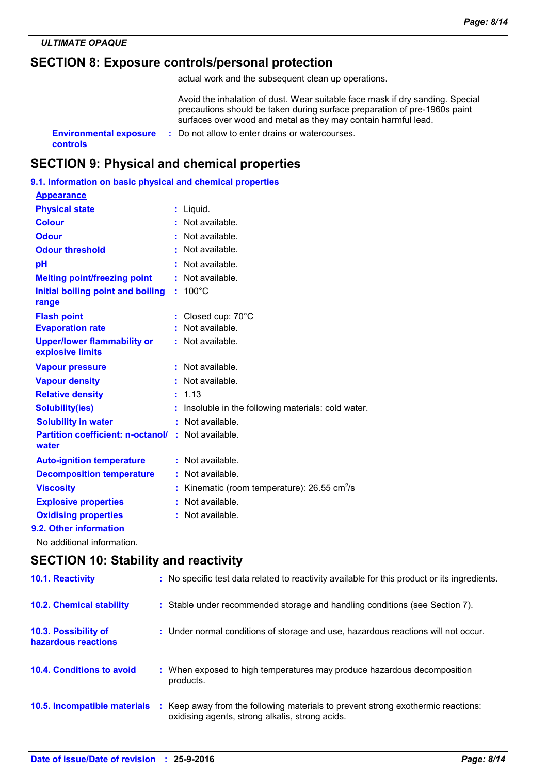## **SECTION 8: Exposure controls/personal protection**

actual work and the subsequent clean up operations.

Avoid the inhalation of dust. Wear suitable face mask if dry sanding. Special precautions should be taken during surface preparation of pre-1960s paint surfaces over wood and metal as they may contain harmful lead.

**controls**

#### **Environmental exposure :** Do not allow to enter drains or watercourses.

# **SECTION 9: Physical and chemical properties**

| 9.1. Information on basic physical and chemical properties |    |                                                        |
|------------------------------------------------------------|----|--------------------------------------------------------|
| <b>Appearance</b>                                          |    |                                                        |
| <b>Physical state</b>                                      | t  | Liquid.                                                |
| <b>Colour</b>                                              |    | Not available.                                         |
| <b>Odour</b>                                               |    | Not available.                                         |
| <b>Odour threshold</b>                                     |    | Not available.                                         |
| рH                                                         | ÷  | Not available.                                         |
| <b>Melting point/freezing point</b>                        | ÷  | Not available.                                         |
| Initial boiling point and boiling<br>range                 | ÷. | $100^{\circ}$ C                                        |
| <b>Flash point</b>                                         |    | Closed cup: 70°C                                       |
| <b>Evaporation rate</b>                                    |    | : Not available.                                       |
| <b>Upper/lower flammability or</b><br>explosive limits     |    | : Not available.                                       |
| <b>Vapour pressure</b>                                     |    | Not available.                                         |
| <b>Vapour density</b>                                      |    | Not available.                                         |
| <b>Relative density</b>                                    |    | 1.13                                                   |
| <b>Solubility(ies)</b>                                     |    | Insoluble in the following materials: cold water.      |
| <b>Solubility in water</b>                                 |    | : Not available.                                       |
| <b>Partition coefficient: n-octanol/</b><br>water          |    | : Not available.                                       |
| <b>Auto-ignition temperature</b>                           |    | $:$ Not available.                                     |
| <b>Decomposition temperature</b>                           |    | Not available.                                         |
| <b>Viscosity</b>                                           | t  | Kinematic (room temperature): 26.55 cm <sup>2</sup> /s |
| <b>Explosive properties</b>                                |    | Not available.                                         |
| <b>Oxidising properties</b>                                | t  | Not available.                                         |
| 9.2. Other information                                     |    |                                                        |
| No additional information.                                 |    |                                                        |

# **SECTION 10: Stability and reactivity** : Keep away from the following materials to prevent strong exothermic reactions: oxidising agents, strong alkalis, strong acids. **10.4. Conditions to avoid** : When exposed to high temperatures may produce hazardous decomposition products. **10.2. Chemical stability :** Stable under recommended storage and handling conditions (see Section 7). **10.5. Incompatible materials : 10.3. Possibility of hazardous reactions :** Under normal conditions of storage and use, hazardous reactions will not occur. **10.1. Reactivity :** No specific test data related to reactivity available for this product or its ingredients.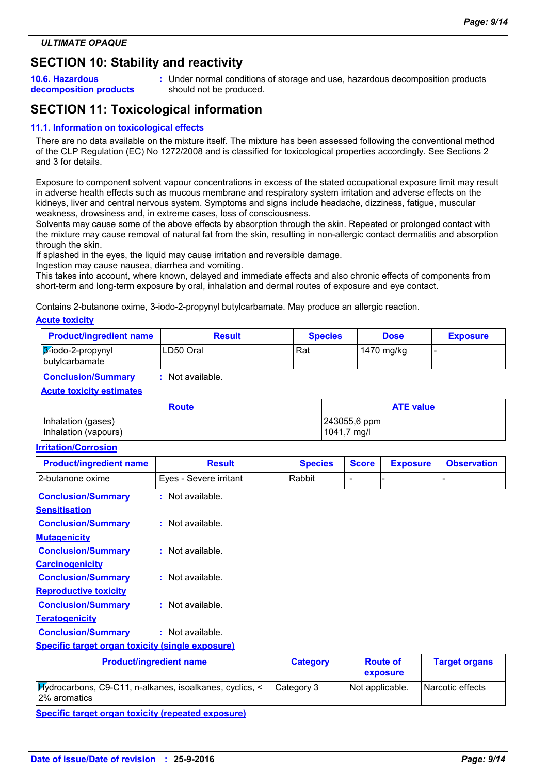# **SECTION 10: Stability and reactivity**

**10.6. Hazardous decomposition products** **:** Under normal conditions of storage and use, hazardous decomposition products should not be produced.

# **SECTION 11: Toxicological information**

#### **11.1. Information on toxicological effects**

There are no data available on the mixture itself. The mixture has been assessed following the conventional method of the CLP Regulation (EC) No 1272/2008 and is classified for toxicological properties accordingly. See Sections 2 and 3 for details.

Exposure to component solvent vapour concentrations in excess of the stated occupational exposure limit may result in adverse health effects such as mucous membrane and respiratory system irritation and adverse effects on the kidneys, liver and central nervous system. Symptoms and signs include headache, dizziness, fatigue, muscular weakness, drowsiness and, in extreme cases, loss of consciousness.

Solvents may cause some of the above effects by absorption through the skin. Repeated or prolonged contact with the mixture may cause removal of natural fat from the skin, resulting in non-allergic contact dermatitis and absorption through the skin.

If splashed in the eyes, the liquid may cause irritation and reversible damage.

Ingestion may cause nausea, diarrhea and vomiting.

This takes into account, where known, delayed and immediate effects and also chronic effects of components from short-term and long-term exposure by oral, inhalation and dermal routes of exposure and eye contact.

Contains 2-butanone oxime, 3-iodo-2-propynyl butylcarbamate. May produce an allergic reaction.

**Acute toxicity**

| <b>Product/ingredient name</b>           | <b>Result</b> | <b>Species</b> | <b>Dose</b> | <b>Exposure</b> |
|------------------------------------------|---------------|----------------|-------------|-----------------|
| $3$ -iodo-2-propynyl<br>  butylcarbamate | LD50 Oral     | Rat            | 1470 mg/kg  |                 |

**Conclusion/Summary :** Not available.

#### **Acute toxicity estimates**

| <b>Route</b>         | <b>ATE value</b> |
|----------------------|------------------|
| Inhalation (gases)   | 243055,6 ppm     |
| Inhalation (vapours) | 1041,7 mg/l      |

#### **Irritation/Corrosion**

| <b>Product/ingredient name</b>                          | <b>Result</b>                  | <b>Species</b>  | <b>Score</b>             | <b>Exposure</b>             | <b>Observation</b>   |
|---------------------------------------------------------|--------------------------------|-----------------|--------------------------|-----------------------------|----------------------|
| 2-butanone oxime                                        | Eyes - Severe irritant         | Rabbit          | $\overline{\phantom{a}}$ |                             |                      |
| <b>Conclusion/Summary</b>                               | : Not available.               |                 |                          |                             |                      |
| <b>Sensitisation</b>                                    |                                |                 |                          |                             |                      |
| <b>Conclusion/Summary</b>                               | : Not available.               |                 |                          |                             |                      |
| <b>Mutagenicity</b>                                     |                                |                 |                          |                             |                      |
| <b>Conclusion/Summary</b>                               | : Not available.               |                 |                          |                             |                      |
| <b>Carcinogenicity</b>                                  |                                |                 |                          |                             |                      |
| <b>Conclusion/Summary</b>                               | : Not available.               |                 |                          |                             |                      |
| <b>Reproductive toxicity</b>                            |                                |                 |                          |                             |                      |
| <b>Conclusion/Summary</b>                               | : Not available.               |                 |                          |                             |                      |
| <b>Teratogenicity</b>                                   |                                |                 |                          |                             |                      |
| <b>Conclusion/Summary</b>                               | : Not available.               |                 |                          |                             |                      |
| <b>Specific target organ toxicity (single exposure)</b> |                                |                 |                          |                             |                      |
|                                                         | <b>Product/ingredient name</b> | <b>Category</b> |                          | <b>Route of</b><br>exposure | <b>Target organs</b> |

| Considia toyork aveven taylalty (vanasted avevances)                                                              |                 |                  |
|-------------------------------------------------------------------------------------------------------------------|-----------------|------------------|
| $\mathcal{H}_y$ drocarbons, C9-C11, n-alkanes, isoalkanes, cyclics, < $\mathcal{L}_z$ Category 3<br>12% aromatics | Not applicable. | Narcotic effects |
|                                                                                                                   |                 |                  |

**Specific target organ toxicity (repeated exposure)**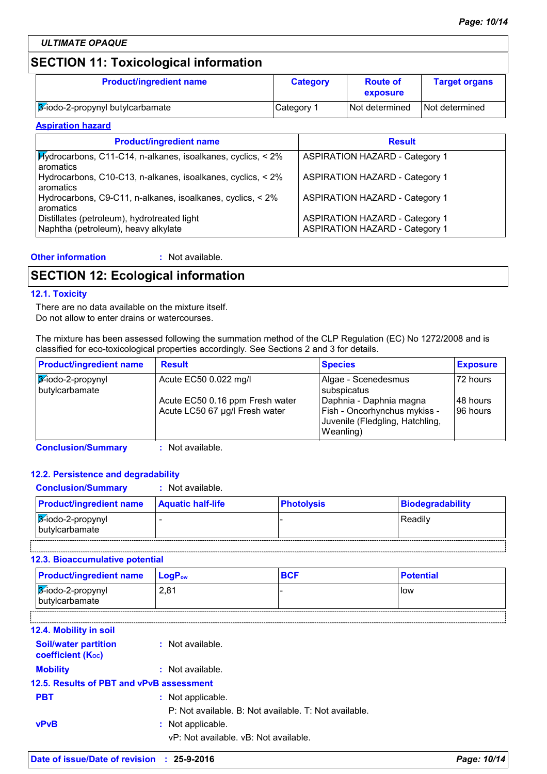# **SECTION 11: Toxicological information**

| <b>Product/ingredient name</b>   | <b>Category</b> | <b>Route of</b><br>exposure | <b>Target organs</b> |
|----------------------------------|-----------------|-----------------------------|----------------------|
| 3-iodo-2-propynyl butylcarbamate | Category 1      | Not determined              | Not determined       |

#### **Aspiration hazard**

| <b>Product/ingredient name</b>                                                     | <b>Result</b>                                                                  |
|------------------------------------------------------------------------------------|--------------------------------------------------------------------------------|
| <b>Hydrocarbons, C11-C14, n-alkanes, isoalkanes, cyclics, &lt; 2%</b><br>aromatics | <b>ASPIRATION HAZARD - Category 1</b>                                          |
| Hydrocarbons, C10-C13, n-alkanes, isoalkanes, cyclics, < 2%<br>aromatics           | <b>ASPIRATION HAZARD - Category 1</b>                                          |
| Hydrocarbons, C9-C11, n-alkanes, isoalkanes, cyclics, < 2%<br>aromatics            | <b>ASPIRATION HAZARD - Category 1</b>                                          |
| Distillates (petroleum), hydrotreated light<br>Naphtha (petroleum), heavy alkylate | <b>ASPIRATION HAZARD - Category 1</b><br><b>ASPIRATION HAZARD - Category 1</b> |

#### **Other information :**

: Not available.

# **SECTION 12: Ecological information**

#### **12.1. Toxicity**

There are no data available on the mixture itself. Do not allow to enter drains or watercourses.

The mixture has been assessed following the summation method of the CLP Regulation (EC) No 1272/2008 and is classified for eco-toxicological properties accordingly. See Sections 2 and 3 for details.

| <b>Product/ingredient name</b>      | <b>Result</b>                                                     | <b>Species</b>                                                                                          | <b>Exposure</b>        |
|-------------------------------------|-------------------------------------------------------------------|---------------------------------------------------------------------------------------------------------|------------------------|
| 3-iodo-2-propynyl<br>butylcarbamate | Acute EC50 0.022 mg/l                                             | Algae - Scenedesmus<br>subspicatus                                                                      | 72 hours               |
|                                     | Acute EC50 0.16 ppm Fresh water<br>Acute LC50 67 µg/l Fresh water | Daphnia - Daphnia magna<br>Fish - Oncorhynchus mykiss -<br>Juvenile (Fledgling, Hatchling,<br>Weanling) | 148 hours<br>196 hours |

**Conclusion/Summary :** Not available.

#### **12.2. Persistence and degradability**

#### **Conclusion/Summary :** Not available.

| <b>Product/ingredient name</b>                       | <b>Aquatic half-life</b> | <b>Photolysis</b> | <b>Biodegradability</b> |
|------------------------------------------------------|--------------------------|-------------------|-------------------------|
| <u> <i>3</i>∕-iodo-2-propynyl</u><br>Tbutylcarbamate |                          |                   | Readilv                 |
|                                                      |                          |                   |                         |

#### **12.3. Bioaccumulative potential**

| 2.81<br>3-iodo-2-propynyl<br><b>I</b> low<br>butylcarbamate | <b>Product/ingredient name</b> | $\mathsf{LoaP}_\mathsf{ow}$ | <b>Potential</b> |
|-------------------------------------------------------------|--------------------------------|-----------------------------|------------------|
|                                                             |                                |                             |                  |

| <b>12.4. Mobility in soil</b>                    |                                                       |
|--------------------------------------------------|-------------------------------------------------------|
| <b>Soil/water partition</b><br>coefficient (Koc) | : Not available.                                      |
| <b>Mobility</b>                                  | : Not available.                                      |
| 12.5. Results of PBT and vPvB assessment         |                                                       |
| <b>PBT</b>                                       | : Not applicable.                                     |
|                                                  | P: Not available. B: Not available. T: Not available. |
| <b>vPvB</b>                                      | : Not applicable.                                     |
|                                                  | vP: Not available, vB: Not available.                 |
|                                                  |                                                       |

- 1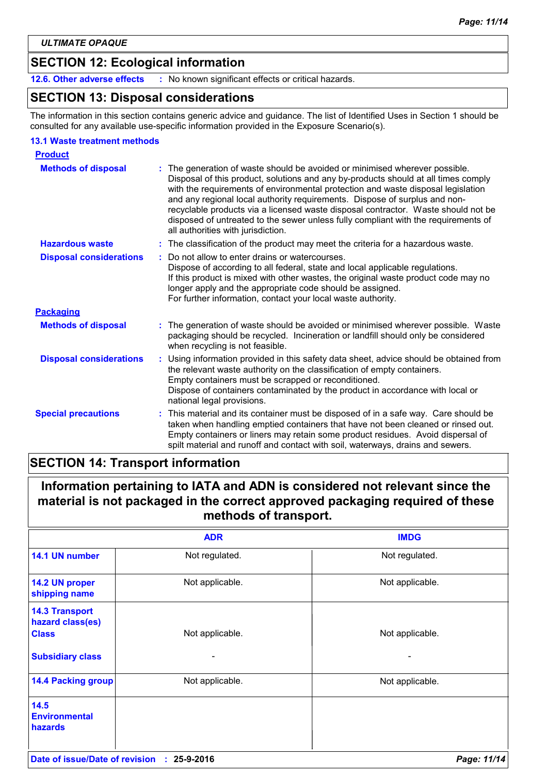# **SECTION 12: Ecological information**

**12.6. Other adverse effects :** No known significant effects or critical hazards.

### **SECTION 13: Disposal considerations**

The information in this section contains generic advice and guidance. The list of Identified Uses in Section 1 should be consulted for any available use-specific information provided in the Exposure Scenario(s).

#### **13.1 Waste treatment methods**

| <b>Product</b>                 |                                                                                                                                                                                                                                                                                                                                                                                                                                                                                                                                                    |
|--------------------------------|----------------------------------------------------------------------------------------------------------------------------------------------------------------------------------------------------------------------------------------------------------------------------------------------------------------------------------------------------------------------------------------------------------------------------------------------------------------------------------------------------------------------------------------------------|
| <b>Methods of disposal</b>     | The generation of waste should be avoided or minimised wherever possible.<br>Disposal of this product, solutions and any by-products should at all times comply<br>with the requirements of environmental protection and waste disposal legislation<br>and any regional local authority requirements. Dispose of surplus and non-<br>recyclable products via a licensed waste disposal contractor. Waste should not be<br>disposed of untreated to the sewer unless fully compliant with the requirements of<br>all authorities with jurisdiction. |
| <b>Hazardous waste</b>         | : The classification of the product may meet the criteria for a hazardous waste.                                                                                                                                                                                                                                                                                                                                                                                                                                                                   |
| <b>Disposal considerations</b> | Do not allow to enter drains or watercourses.<br>Dispose of according to all federal, state and local applicable regulations.<br>If this product is mixed with other wastes, the original waste product code may no<br>longer apply and the appropriate code should be assigned.<br>For further information, contact your local waste authority.                                                                                                                                                                                                   |
| <b>Packaging</b>               |                                                                                                                                                                                                                                                                                                                                                                                                                                                                                                                                                    |
| <b>Methods of disposal</b>     | : The generation of waste should be avoided or minimised wherever possible. Waste<br>packaging should be recycled. Incineration or landfill should only be considered<br>when recycling is not feasible.                                                                                                                                                                                                                                                                                                                                           |
| <b>Disposal considerations</b> | Using information provided in this safety data sheet, advice should be obtained from<br>the relevant waste authority on the classification of empty containers.<br>Empty containers must be scrapped or reconditioned.<br>Dispose of containers contaminated by the product in accordance with local or<br>national legal provisions.                                                                                                                                                                                                              |
| <b>Special precautions</b>     | This material and its container must be disposed of in a safe way. Care should be<br>taken when handling emptied containers that have not been cleaned or rinsed out.<br>Empty containers or liners may retain some product residues. Avoid dispersal of<br>spilt material and runoff and contact with soil, waterways, drains and sewers.                                                                                                                                                                                                         |

### **SECTION 14: Transport information**

# **Information pertaining to IATA and ADN is considered not relevant since the material is not packaged in the correct approved packaging required of these methods of transport.**

|                                                           | <b>ADR</b>      | <b>IMDG</b>     |
|-----------------------------------------------------------|-----------------|-----------------|
| 14.1 UN number                                            | Not regulated.  | Not regulated.  |
| 14.2 UN proper<br>shipping name                           | Not applicable. | Not applicable. |
| <b>14.3 Transport</b><br>hazard class(es)<br><b>Class</b> | Not applicable. | Not applicable. |
| <b>Subsidiary class</b>                                   |                 |                 |
| <b>14.4 Packing group</b>                                 | Not applicable. | Not applicable. |
| 14.5<br><b>Environmental</b><br>hazards                   |                 |                 |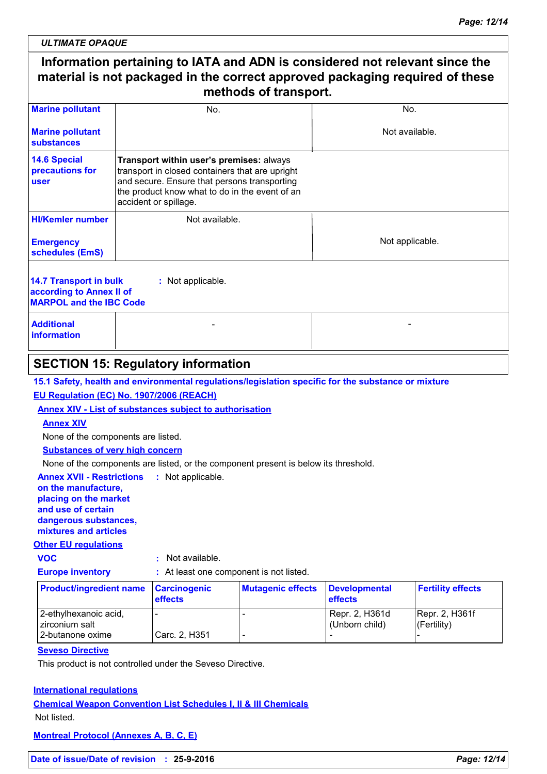# **Information pertaining to IATA and ADN is considered not relevant since the material is not packaged in the correct approved packaging required of these methods of transport.**

| <b>Marine pollutant</b>                                                                                   | No.                                                                                                                                                                                                                    | No.             |
|-----------------------------------------------------------------------------------------------------------|------------------------------------------------------------------------------------------------------------------------------------------------------------------------------------------------------------------------|-----------------|
| <b>Marine pollutant</b><br>substances                                                                     |                                                                                                                                                                                                                        | Not available.  |
| <b>14.6 Special</b><br>precautions for<br><b>user</b>                                                     | Transport within user's premises: always<br>transport in closed containers that are upright<br>and secure. Ensure that persons transporting<br>the product know what to do in the event of an<br>accident or spillage. |                 |
| <b>HI/Kemler number</b>                                                                                   | Not available.                                                                                                                                                                                                         |                 |
| <b>Emergency</b><br>schedules (EmS)                                                                       |                                                                                                                                                                                                                        | Not applicable. |
| 14.7 Transport in bulk<br>: Not applicable.<br>according to Annex II of<br><b>MARPOL and the IBC Code</b> |                                                                                                                                                                                                                        |                 |
| <b>Additional</b><br>information                                                                          |                                                                                                                                                                                                                        |                 |

# **SECTION 15: Regulatory information**

**15.1 Safety, health and environmental regulations/legislation specific for the substance or mixture**

#### **EU Regulation (EC) No. 1907/2006 (REACH)**

**Annex XIV - List of substances subject to authorisation**

#### **Annex XIV**

None of the components are listed.

**Substances of very high concern**

None of the components are listed, or the component present is below its threshold.

**Annex XVII - Restrictions : Not applicable.** 

#### **on the manufacture, placing on the market and use of certain dangerous substances, mixtures and articles**

#### **Other EU regulations**

|        | ۰.     |
|--------|--------|
|        | ×<br>٠ |
| ×<br>٠ |        |

**VOC :** Not available.

**Europe inventory :** At least one component is not listed.

| <b>Product/ingredient name</b>            | Carcinogenic<br><b>effects</b> | <b>Mutagenic effects</b> | <b>Developmental</b><br><b>effects</b> | <b>Fertility effects</b>         |
|-------------------------------------------|--------------------------------|--------------------------|----------------------------------------|----------------------------------|
| 2-ethylhexanoic acid,<br>I zirconium salt | <b>.</b>                       |                          | Repr. 2, H361d<br>(Unborn child)       | Repr. 2, H361f<br>$(F$ ertility) |
| 2-butanone oxime                          | Carc. 2, H351                  |                          |                                        |                                  |

#### **Seveso Directive**

This product is not controlled under the Seveso Directive.

#### **International regulations**

**Chemical Weapon Convention List Schedules I, II & III Chemicals** Not listed.

**Montreal Protocol (Annexes A, B, C, E)**

**Date of issue/Date of revision : 25-9-2016** *Page: 12/14*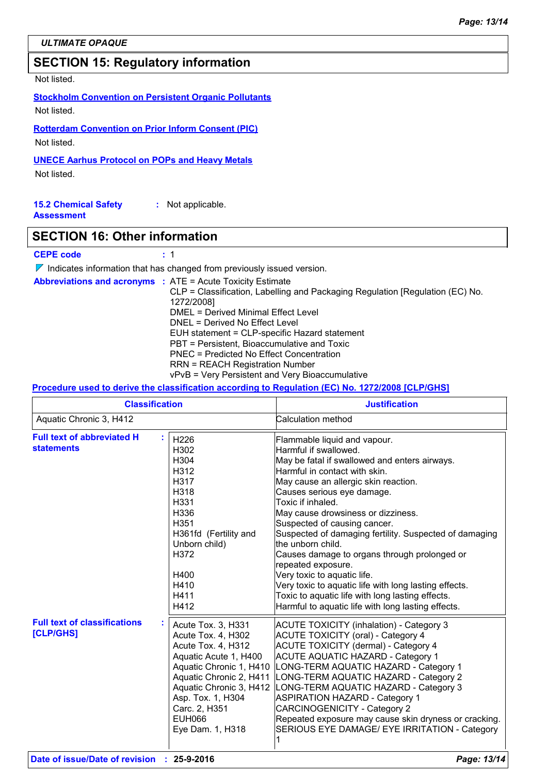# **SECTION 15: Regulatory information**

Not listed.

**Stockholm Convention on Persistent Organic Pollutants**

Not listed.

**Rotterdam Convention on Prior Inform Consent (PIC)** Not listed.

#### **UNECE Aarhus Protocol on POPs and Heavy Metals**

Not listed.

**15.2 Chemical Safety Assessment :** Not applicable.

### **SECTION 16: Other information**

#### **CEPE code :** 1

 $\nabla$  Indicates information that has changed from previously issued version.

| <b>Abbreviations and acronyms : ATE = Acute Toxicity Estimate</b>             |
|-------------------------------------------------------------------------------|
| CLP = Classification, Labelling and Packaging Regulation [Regulation (EC) No. |
| 1272/2008]                                                                    |
| DMEL = Derived Minimal Effect Level                                           |
| DNEL = Derived No Effect Level                                                |
| EUH statement = CLP-specific Hazard statement                                 |
| PBT = Persistent, Bioaccumulative and Toxic                                   |
| <b>PNEC</b> = Predicted No Effect Concentration                               |
| <b>RRN = REACH Registration Number</b>                                        |
| vPvB = Very Persistent and Very Bioaccumulative                               |

### **Procedure used to derive the classification according to Regulation (EC) No. 1272/2008 [CLP/GHS]**

| <b>Classification</b>                                  |                                                                                                                                                                                                                                                     | <b>Justification</b>                                                                                                                                                                                                                                                                                                                                                                                                                                                                                                                                                                                                                                            |
|--------------------------------------------------------|-----------------------------------------------------------------------------------------------------------------------------------------------------------------------------------------------------------------------------------------------------|-----------------------------------------------------------------------------------------------------------------------------------------------------------------------------------------------------------------------------------------------------------------------------------------------------------------------------------------------------------------------------------------------------------------------------------------------------------------------------------------------------------------------------------------------------------------------------------------------------------------------------------------------------------------|
| Aquatic Chronic 3, H412                                |                                                                                                                                                                                                                                                     | Calculation method                                                                                                                                                                                                                                                                                                                                                                                                                                                                                                                                                                                                                                              |
| <b>Full text of abbreviated H</b><br><b>statements</b> | H226<br>H302<br>H304<br>H312<br>H317<br>H318<br>H331<br>H336<br>H351<br>H361fd (Fertility and<br>Unborn child)<br>H372<br>H400<br>H410<br>H411<br>H412                                                                                              | Flammable liquid and vapour.<br>Harmful if swallowed.<br>May be fatal if swallowed and enters airways.<br>Harmful in contact with skin.<br>May cause an allergic skin reaction.<br>Causes serious eye damage.<br>Toxic if inhaled.<br>May cause drowsiness or dizziness.<br>Suspected of causing cancer.<br>Suspected of damaging fertility. Suspected of damaging<br>the unborn child.<br>Causes damage to organs through prolonged or<br>repeated exposure.<br>Very toxic to aquatic life.<br>Very toxic to aquatic life with long lasting effects.<br>Toxic to aquatic life with long lasting effects.<br>Harmful to aquatic life with long lasting effects. |
| <b>Full text of classifications</b><br>[CLP/GHS]       | Acute Tox. 3, H331<br>Acute Tox. 4, H302<br>Acute Tox. 4, H312<br>Aquatic Acute 1, H400<br>Aquatic Chronic 1, H410<br>Aquatic Chronic 2, H411<br>Aquatic Chronic 3, H412<br>Asp. Tox. 1, H304<br>Carc. 2, H351<br><b>EUH066</b><br>Eye Dam. 1, H318 | <b>ACUTE TOXICITY (inhalation) - Category 3</b><br><b>ACUTE TOXICITY (oral) - Category 4</b><br><b>ACUTE TOXICITY (dermal) - Category 4</b><br><b>ACUTE AQUATIC HAZARD - Category 1</b><br>LONG-TERM AQUATIC HAZARD - Category 1<br>LONG-TERM AQUATIC HAZARD - Category 2<br>LONG-TERM AQUATIC HAZARD - Category 3<br><b>ASPIRATION HAZARD - Category 1</b><br><b>CARCINOGENICITY - Category 2</b><br>Repeated exposure may cause skin dryness or cracking.<br>SERIOUS EYE DAMAGE/ EYE IRRITATION - Category                                                                                                                                                    |